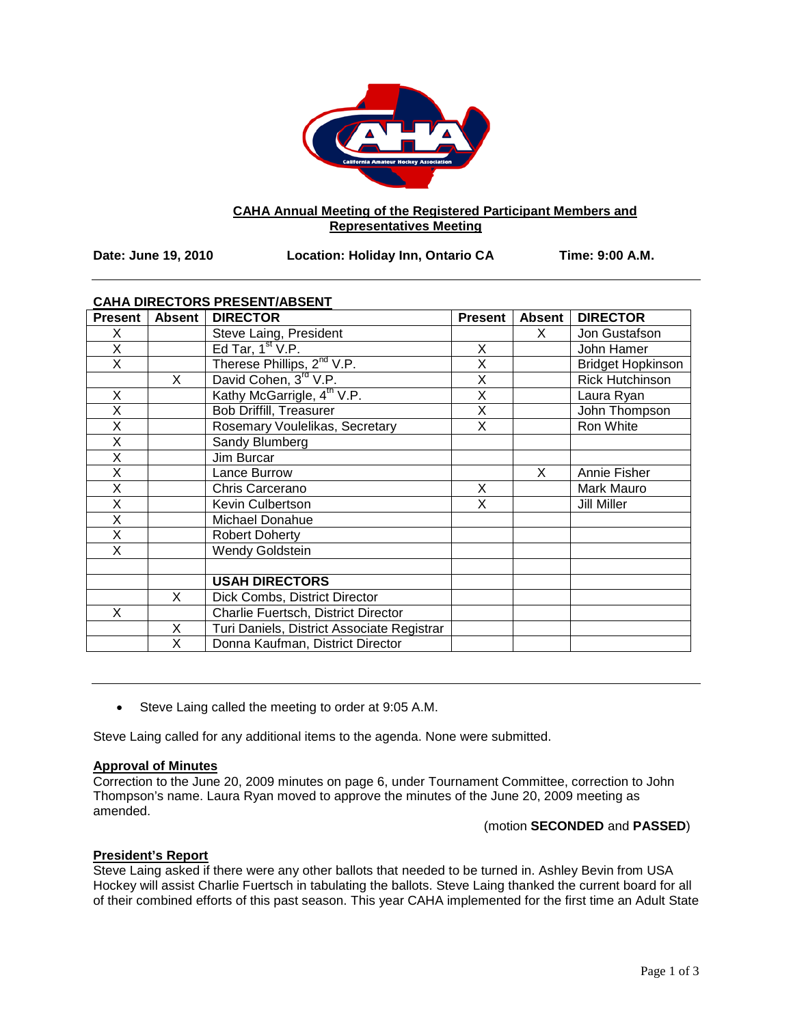

# **CAHA Annual Meeting of the Registered Participant Members and Representatives Meeting**

**Date: June 19, 2010 Location: Holiday Inn, Ontario CA Time: 9:00 A.M.**

# **CAHA DIRECTORS PRESENT/ABSENT**

| <b>Present</b> | <b>Absent</b> | <b>DIRECTOR</b>                            | <b>Present</b> | <b>Absent</b> | <b>DIRECTOR</b>          |
|----------------|---------------|--------------------------------------------|----------------|---------------|--------------------------|
| X              |               | Steve Laing, President                     |                | X.            | Jon Gustafson            |
| X              |               | Ed Tar, $1st V.P.$                         | X              |               | John Hamer               |
| X              |               | Therese Phillips, 2 <sup>nd</sup> V.P.     | X              |               | <b>Bridget Hopkinson</b> |
|                | X             | David Cohen, 3rd V.P.                      | X              |               | Rick Hutchinson          |
| X              |               | Kathy McGarrigle, 4 <sup>th</sup> V.P.     | X              |               | Laura Ryan               |
| X              |               | <b>Bob Driffill, Treasurer</b>             | X              |               | John Thompson            |
| X              |               | Rosemary Voulelikas, Secretary             | X              |               | Ron White                |
| X              |               | Sandy Blumberg                             |                |               |                          |
| X              |               | Jim Burcar                                 |                |               |                          |
| Χ              |               | Lance Burrow                               |                | X             | Annie Fisher             |
| X              |               | Chris Carcerano                            | X              |               | Mark Mauro               |
| X              |               | Kevin Culbertson                           | X              |               | Jill Miller              |
| X              |               | Michael Donahue                            |                |               |                          |
| X              |               | <b>Robert Doherty</b>                      |                |               |                          |
| X              |               | <b>Wendy Goldstein</b>                     |                |               |                          |
|                |               |                                            |                |               |                          |
|                |               | <b>USAH DIRECTORS</b>                      |                |               |                          |
|                | X             | Dick Combs, District Director              |                |               |                          |
| X              |               | Charlie Fuertsch, District Director        |                |               |                          |
|                | X             | Turi Daniels, District Associate Registrar |                |               |                          |
|                | X             | Donna Kaufman, District Director           |                |               |                          |

• Steve Laing called the meeting to order at 9:05 A.M.

Steve Laing called for any additional items to the agenda. None were submitted.

# **Approval of Minutes**

Correction to the June 20, 2009 minutes on page 6, under Tournament Committee, correction to John Thompson's name. Laura Ryan moved to approve the minutes of the June 20, 2009 meeting as amended.

# (motion **SECONDED** and **PASSED**)

# **President's Report**

Steve Laing asked if there were any other ballots that needed to be turned in. Ashley Bevin from USA Hockey will assist Charlie Fuertsch in tabulating the ballots. Steve Laing thanked the current board for all of their combined efforts of this past season. This year CAHA implemented for the first time an Adult State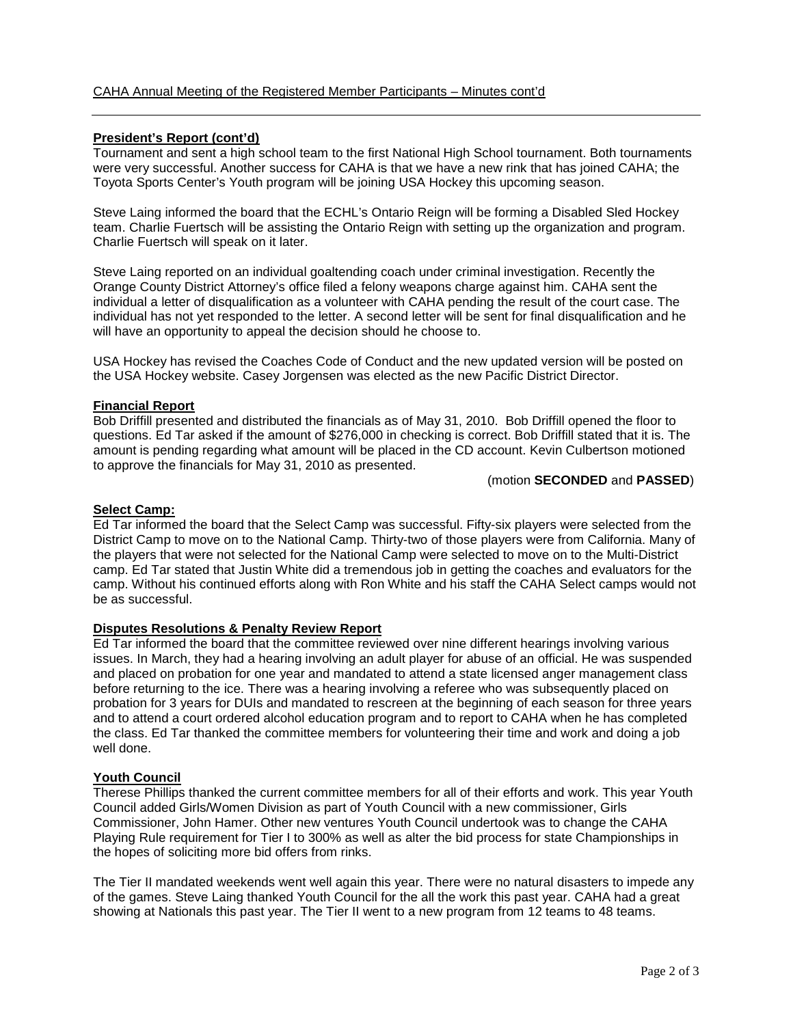# **President's Report (cont'd)**

Tournament and sent a high school team to the first National High School tournament. Both tournaments were very successful. Another success for CAHA is that we have a new rink that has joined CAHA; the Toyota Sports Center's Youth program will be joining USA Hockey this upcoming season.

Steve Laing informed the board that the ECHL's Ontario Reign will be forming a Disabled Sled Hockey team. Charlie Fuertsch will be assisting the Ontario Reign with setting up the organization and program. Charlie Fuertsch will speak on it later.

Steve Laing reported on an individual goaltending coach under criminal investigation. Recently the Orange County District Attorney's office filed a felony weapons charge against him. CAHA sent the individual a letter of disqualification as a volunteer with CAHA pending the result of the court case. The individual has not yet responded to the letter. A second letter will be sent for final disqualification and he will have an opportunity to appeal the decision should he choose to.

USA Hockey has revised the Coaches Code of Conduct and the new updated version will be posted on the USA Hockey website. Casey Jorgensen was elected as the new Pacific District Director.

# **Financial Report**

Bob Driffill presented and distributed the financials as of May 31, 2010. Bob Driffill opened the floor to questions. Ed Tar asked if the amount of \$276,000 in checking is correct. Bob Driffill stated that it is. The amount is pending regarding what amount will be placed in the CD account. Kevin Culbertson motioned to approve the financials for May 31, 2010 as presented.

#### (motion **SECONDED** and **PASSED**)

# **Select Camp:**

Ed Tar informed the board that the Select Camp was successful. Fifty-six players were selected from the District Camp to move on to the National Camp. Thirty-two of those players were from California. Many of the players that were not selected for the National Camp were selected to move on to the Multi-District camp. Ed Tar stated that Justin White did a tremendous job in getting the coaches and evaluators for the camp. Without his continued efforts along with Ron White and his staff the CAHA Select camps would not be as successful.

# **Disputes Resolutions & Penalty Review Report**

Ed Tar informed the board that the committee reviewed over nine different hearings involving various issues. In March, they had a hearing involving an adult player for abuse of an official. He was suspended and placed on probation for one year and mandated to attend a state licensed anger management class before returning to the ice. There was a hearing involving a referee who was subsequently placed on probation for 3 years for DUIs and mandated to rescreen at the beginning of each season for three years and to attend a court ordered alcohol education program and to report to CAHA when he has completed the class. Ed Tar thanked the committee members for volunteering their time and work and doing a job well done.

#### **Youth Council**

Therese Phillips thanked the current committee members for all of their efforts and work. This year Youth Council added Girls/Women Division as part of Youth Council with a new commissioner, Girls Commissioner, John Hamer. Other new ventures Youth Council undertook was to change the CAHA Playing Rule requirement for Tier I to 300% as well as alter the bid process for state Championships in the hopes of soliciting more bid offers from rinks.

The Tier II mandated weekends went well again this year. There were no natural disasters to impede any of the games. Steve Laing thanked Youth Council for the all the work this past year. CAHA had a great showing at Nationals this past year. The Tier II went to a new program from 12 teams to 48 teams.